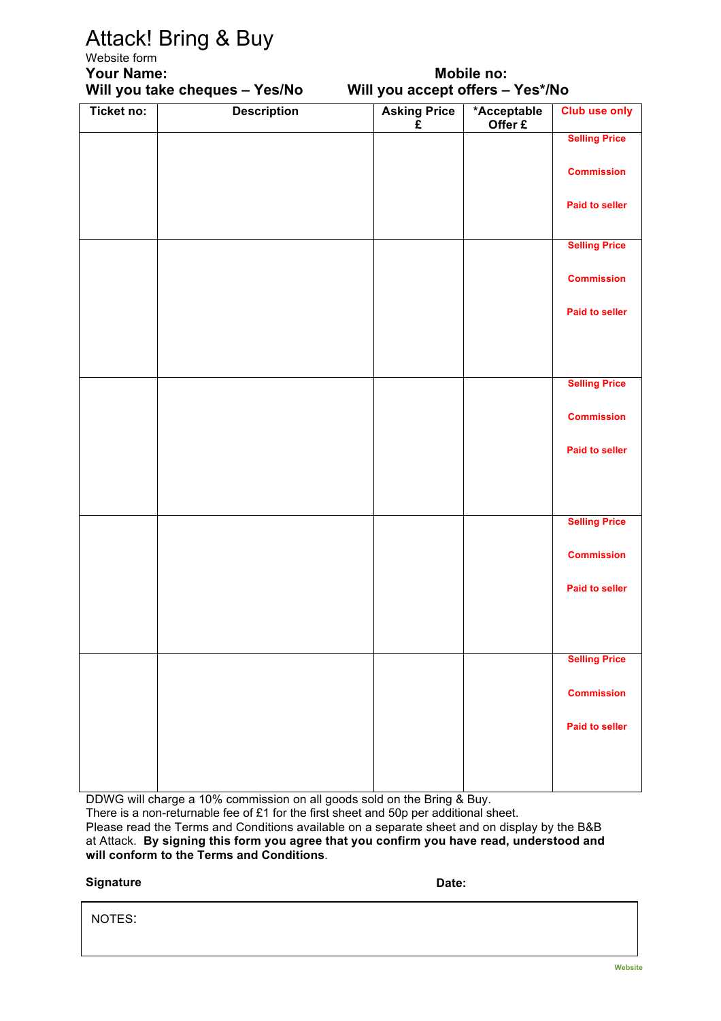## Attack! Bring & Buy

### Website form **Your Name: Mobile no:**

## **Will you take cheques – Yes/No Will you accept offers – Yes\*/No**

| Ticket no: | <b>Description</b> | <b>Asking Price</b><br>£ | *Acceptable<br>Offer £ | <b>Club use only</b>  |
|------------|--------------------|--------------------------|------------------------|-----------------------|
|            |                    |                          |                        | <b>Selling Price</b>  |
|            |                    |                          |                        | <b>Commission</b>     |
|            |                    |                          |                        | <b>Paid to seller</b> |
|            |                    |                          |                        | <b>Selling Price</b>  |
|            |                    |                          |                        | <b>Commission</b>     |
|            |                    |                          |                        | <b>Paid to seller</b> |
|            |                    |                          |                        |                       |
|            |                    |                          |                        | <b>Selling Price</b>  |
|            |                    |                          |                        | <b>Commission</b>     |
|            |                    |                          |                        | <b>Paid to seller</b> |
|            |                    |                          |                        |                       |
|            |                    |                          |                        | <b>Selling Price</b>  |
|            |                    |                          |                        | <b>Commission</b>     |
|            |                    |                          |                        | <b>Paid to seller</b> |
|            |                    |                          |                        |                       |
|            |                    |                          |                        | <b>Selling Price</b>  |
|            |                    |                          |                        | <b>Commission</b>     |
|            |                    |                          |                        | <b>Paid to seller</b> |
|            |                    |                          |                        |                       |
|            |                    |                          |                        |                       |

DDWG will charge a 10% commission on all goods sold on the Bring & Buy.

There is a non-returnable fee of £1 for the first sheet and 50p per additional sheet.

Please read the Terms and Conditions available on a separate sheet and on display by the B&B at Attack. **By signing this form you agree that you confirm you have read, understood and will conform to the Terms and Conditions**.

#### **Signature Date:**

NOTES: